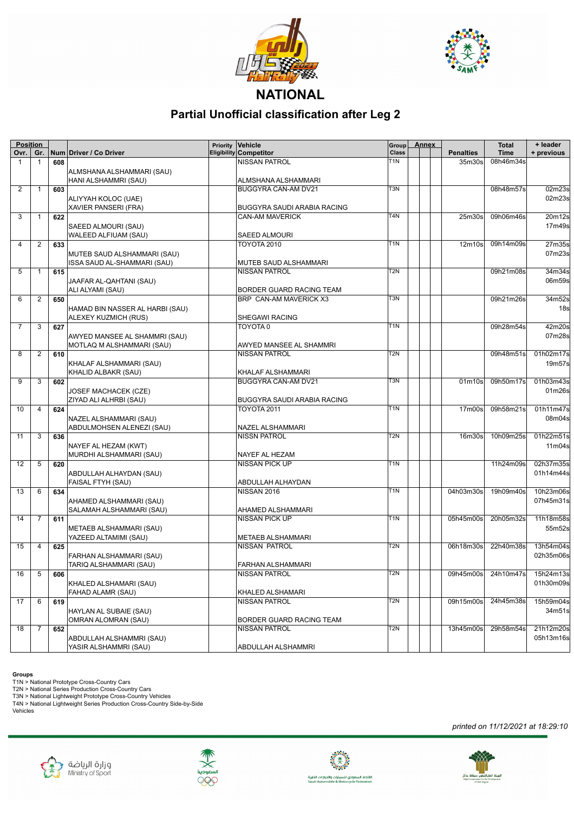



## **NATIONAL**

## **Partial Unofficial classification after Leg 2**

| <b>Position</b> |                |     |                                 | Priority | Vehicle                            | Group            | <b>Annex</b> |                                 | <b>Total</b> | + leader        |
|-----------------|----------------|-----|---------------------------------|----------|------------------------------------|------------------|--------------|---------------------------------|--------------|-----------------|
| Ovr.            | Gr.            |     | Num Driver / Co Driver          |          | <b>Eligibility Competitor</b>      | Class            |              | <b>Penalties</b>                | <b>Time</b>  | + previous      |
| $\mathbf{1}$    | $\mathbf{1}$   | 608 |                                 |          | NISSAN PATROL                      | T1N              |              | 35m30s                          | 08h46m34s    |                 |
|                 |                |     | ALMSHANA ALSHAMMARI (SAU)       |          |                                    |                  |              |                                 |              |                 |
|                 |                |     | HANI ALSHAMMRI (SAU)            |          | ALMSHANA ALSHAMMARI                |                  |              |                                 |              |                 |
| 2               | $\mathbf{1}$   | 603 |                                 |          | BUGGYRA CAN-AM DV21                | T3N              |              |                                 | 08h48m57s    | 02m23s          |
|                 |                |     | ALIYYAH KOLOC (UAE)             |          |                                    |                  |              |                                 |              | 02m23s          |
|                 |                |     | <b>XAVIER PANSERI (FRA)</b>     |          | BUGGYRA SAUDI ARABIA RACING        |                  |              |                                 |              |                 |
| 3               | 1              | 622 |                                 |          | CAN-AM MAVERICK                    | T4N              |              | 25m30s                          | 09h06m46s    | 20m12s          |
|                 |                |     | SAEED ALMOURI (SAU)             |          |                                    |                  |              |                                 |              | 17m49s          |
|                 |                |     | WALEED ALFIUAM (SAU)            |          | <b>SAEED ALMOURI</b>               |                  |              |                                 |              |                 |
| 4               | 2              | 633 |                                 |          | <b>TOYOTA 2010</b>                 | T1N              |              | 12m10s                          | 09h14m09s    | 27m35s          |
|                 |                |     | MUTEB SAUD ALSHAMMARI (SAU)     |          |                                    |                  |              |                                 |              | 07m23s          |
|                 |                |     | ISSA SAUD AL-SHAMMARI (SAU)     |          | MUTEB SAUD ALSHAMMARI              |                  |              |                                 |              |                 |
| 5               | 1              | 615 |                                 |          | <b>NISSAN PATROL</b>               | $\overline{T2N}$ |              |                                 | 09h21m08s    | 34m34s          |
|                 |                |     | JAAFAR AL-QAHTANI (SAU)         |          |                                    |                  |              |                                 |              | 06m59s          |
|                 |                |     | ALI ALYAMI (SAU)                |          | BORDER GUARD RACING TEAM           |                  |              |                                 |              |                 |
| 6               | 2              | 650 |                                 |          | BRP CAN-AM MAVERICK X3             | $\overline{T}3N$ |              |                                 | 09h21m26s    | 34m52s          |
|                 |                |     | HAMAD BIN NASSER AL HARBI (SAU) |          |                                    |                  |              |                                 |              | 18 <sub>s</sub> |
|                 |                |     | ALEXEY KUZMICH (RUS)            |          | SHEGAWI RACING                     |                  |              |                                 |              |                 |
| $\overline{7}$  | 3              | 627 |                                 |          | TOYOTA 0                           | T <sub>1</sub> N |              |                                 | 09h28m54s    | 42m20s          |
|                 |                |     | AWYED MANSEE AL SHAMMRI (SAU)   |          |                                    |                  |              |                                 |              | 07m28s          |
|                 |                |     |                                 |          | AWYED MANSEE AL SHAMMRI            |                  |              |                                 |              |                 |
| 8               | 2              |     | MOTLAQ M ALSHAMMARI (SAU)       |          | <b>NISSAN PATROL</b>               | T <sub>2N</sub>  |              |                                 | 09h48m51s    | 01h02m17s       |
|                 |                | 610 |                                 |          |                                    |                  |              |                                 |              |                 |
|                 |                |     | KHALAF ALSHAMMARI (SAU)         |          |                                    |                  |              |                                 |              | 19m57s          |
|                 |                |     | KHALID ALBAKR (SAU)             |          | KHALAF ALSHAMMARI                  |                  |              |                                 |              |                 |
| 9               | 3              | 602 |                                 |          | BUGGYRA CAN-AM DV21                | T <sub>3</sub> N |              | 01 <sub>m</sub> 10 <sub>s</sub> | 09h50m17s    | 01h03m43s       |
|                 |                |     | JOSEF MACHACEK (CZE)            |          |                                    |                  |              |                                 |              | 01m26s          |
|                 |                |     | ZIYAD ALI ALHRBI (SAU)          |          | <b>BUGGYRA SAUDI ARABIA RACING</b> |                  |              |                                 |              |                 |
| 10              | $\overline{4}$ | 624 |                                 |          | <b>TOYOTA 2011</b>                 | T <sub>1</sub> N |              | 17 <sub>m</sub> 00 <sub>s</sub> | 09h58m21s    | 01h11m47s       |
|                 |                |     | NAZEL ALSHAMMARI (SAU)          |          |                                    |                  |              |                                 |              | 08m04s          |
|                 |                |     | ABDULMOHSEN ALENEZI (SAU)       |          | NAZEL ALSHAMMARI                   |                  |              |                                 |              |                 |
| 11              | 3              | 636 |                                 |          | <b>NISSN PATROL</b>                | T2N              |              | 16 <sub>m30s</sub>              | 10h09m25s    | 01h22m51s       |
|                 |                |     | NAYEF AL HEZAM (KWT)            |          |                                    |                  |              |                                 |              | 11m04s          |
|                 |                |     | MURDHI ALSHAMMARI (SAU)         |          | NAYEF AL HEZAM                     |                  |              |                                 |              |                 |
| 12              | 5              | 620 |                                 |          | <b>NISSAN PICK UP</b>              | T <sub>1</sub> N |              |                                 | 11h24m09s    | 02h37m35s       |
|                 |                |     | ABDULLAH ALHAYDAN (SAU)         |          |                                    |                  |              |                                 |              | 01h14m44s       |
|                 |                |     | <b>FAISAL FTYH (SAU)</b>        |          | ABDULLAH ALHAYDAN                  |                  |              |                                 |              |                 |
| 13              | 6              | 634 |                                 |          | <b>NISSAN 2016</b>                 | T1N              |              | 04h03m30s                       | 19h09m40s    | 10h23m06s       |
|                 |                |     | AHAMED ALSHAMMARI (SAU)         |          |                                    |                  |              |                                 |              | 07h45m31s       |
|                 |                |     | SALAMAH ALSHAMMARI (SAU)        |          | AHAMED ALSHAMMARI                  |                  |              |                                 |              |                 |
| 14              | 7              | 611 |                                 |          | <b>NISSAN PICK UP</b>              | T1N              |              | 05h45m00s                       | 20h05m32s    | 11h18m58s       |
|                 |                |     | METAEB ALSHAMMARI (SAU)         |          |                                    |                  |              |                                 |              | 55m52s          |
|                 |                |     | YAZEED ALTAMIMI (SAU)           |          | <b>METAEB ALSHAMMARI</b>           |                  |              |                                 |              |                 |
| 15              | 4              | 625 |                                 |          | NISSAN PATROL                      | T2N              |              | 06h18m30s                       | 22h40m38s    | 13h54m04s       |
|                 |                |     | FARHAN ALSHAMMARI (SAU)         |          |                                    |                  |              |                                 |              | 02h35m06s       |
|                 |                |     | TARIQ ALSHAMMARI (SAU)          |          | <b>FARHAN ALSHAMMARI</b>           |                  |              |                                 |              |                 |
|                 | $16$ 5 606     |     |                                 |          | <b>NISSAN PATROL</b>               | T <sub>2N</sub>  |              | 09h45m00s 24h10m47s 15h24m13s   |              |                 |
|                 |                |     | KHALED ALSHAMARI (SAU)          |          |                                    |                  |              |                                 |              | 01h30m09s       |
|                 |                |     | <b>FAHAD ALAMR (SAU)</b>        |          | KHALED ALSHAMARI                   |                  |              |                                 |              |                 |
| 17              | 6              | 619 |                                 |          | <b>NISSAN PATROL</b>               | T <sub>2</sub> N |              | 09h15m00s                       | 24h45m38s    | 15h59m04s       |
|                 |                |     | HAYLAN AL SUBAIE (SAU)          |          |                                    |                  |              |                                 |              | 34m51s          |
|                 |                |     | OMRAN ALOMRAN (SAU)             |          | BORDER GUARD RACING TEAM           |                  |              |                                 |              |                 |
| 18              | 7              | 652 |                                 |          | NISSAN PATROL                      | T <sub>2N</sub>  |              | 13h45m00s                       | 29h58m54s    | 21h12m20s       |
|                 |                |     |                                 |          |                                    |                  |              |                                 |              | 05h13m16s       |
|                 |                |     | ABDULLAH ALSHAMMRI (SAU)        |          |                                    |                  |              |                                 |              |                 |
|                 |                |     | YASIR ALSHAMMRI (SAU)           |          | ABDULLAH ALSHAMMRI                 |                  |              |                                 |              |                 |

**Groups**<br>T1N > National Prototype Cross-Country Cars<br>T2N > National Series Production Cross-Country Cars<br>T3N > National Lightweight Prototype Cross-Country Vehicles<br>T4N > National Lightweight Series Production Cross-Countr